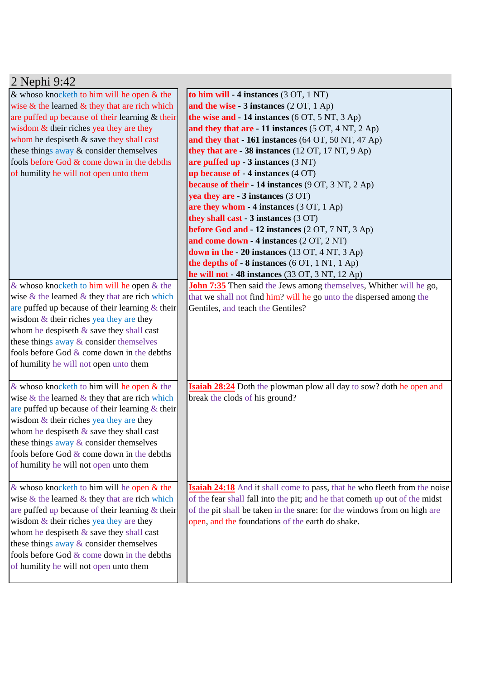| 2 Nephi 9:42                                                                                                                                                                                                                                                                                                                                                                             |                                                                                                                                                                                                                                                                                                                                                                                                                                                                                                                                                                                                                                                                                             |  |  |
|------------------------------------------------------------------------------------------------------------------------------------------------------------------------------------------------------------------------------------------------------------------------------------------------------------------------------------------------------------------------------------------|---------------------------------------------------------------------------------------------------------------------------------------------------------------------------------------------------------------------------------------------------------------------------------------------------------------------------------------------------------------------------------------------------------------------------------------------------------------------------------------------------------------------------------------------------------------------------------------------------------------------------------------------------------------------------------------------|--|--|
| & whoso knocketh to him will be open $&$ the<br>wise $\&$ the learned $\&$ they that are rich which<br>are puffed up because of their learning & their<br>wisdom & their riches yea they are they<br>whom he despiseth & save they shall cast<br>these things away & consider themselves<br>fools before God & come down in the debths<br>of humility he will not open unto them         | to him will - 4 instances (3 OT, 1 NT)<br>and the wise $-3$ instances $(2 OT, 1 Ap)$<br>the wise and $-14$ instances (6 OT, 5 NT, 3 Ap)<br>and they that are - 11 instances (5 OT, 4 NT, 2 Ap)<br>and they that - 161 instances (64 OT, 50 NT, 47 Ap)<br>they that are $-38$ instances (12 OT, 17 NT, 9 Ap)<br>are puffed up $-3$ instances $(3 NT)$<br>up because of $-4$ instances $(4 \text{ OT})$<br><b>because of their - 14 instances</b> (9 OT, 3 NT, 2 Ap)<br>yea they are - 3 instances (3 OT)<br>are they whom - 4 instances (3 OT, 1 Ap)<br>they shall cast - 3 instances (3 OT)<br>before God and - 12 instances (2 OT, 7 NT, 3 Ap)<br>and come down - 4 instances (2 OT, 2 NT) |  |  |
|                                                                                                                                                                                                                                                                                                                                                                                          | down in the $-20$ instances (13 OT, 4 NT, 3 Ap)<br>the depths of $-8$ instances (6 OT, 1 NT, 1 Ap)<br>he will not - 48 instances (33 OT, 3 NT, 12 Ap)                                                                                                                                                                                                                                                                                                                                                                                                                                                                                                                                       |  |  |
| & whoso knocketh to him will be open $&$ the<br>wise $\&$ the learned $\&$ they that are rich which<br>are puffed up because of their learning $\&$ their<br>wisdom $&$ their riches yea they are they<br>whom he despiseth & save they shall cast<br>these things away & consider themselves<br>fools before God $&$ come down in the debths<br>of humility he will not open unto them  | <b>John 7:35</b> Then said the Jews among themselves, Whither will he go,<br>that we shall not find him? will he go unto the dispersed among the<br>Gentiles, and teach the Gentiles?                                                                                                                                                                                                                                                                                                                                                                                                                                                                                                       |  |  |
| & whoso knocketh to him will he open & the<br>wise $\&$ the learned $\&$ they that are rich which<br>are puffed up because of their learning $\&$ their<br>wisdom $&$ their riches yea they are they<br>whom he despiseth $\&$ save they shall cast<br>these things away & consider themselves<br>fools before God $&$ come down in the debths<br>of humility he will not open unto them | <b>Isaiah 28:24</b> Doth the plowman plow all day to sow? doth he open and<br>break the clods of his ground?                                                                                                                                                                                                                                                                                                                                                                                                                                                                                                                                                                                |  |  |
| & whoso knocketh to him will be open $&$ the<br>wise $\&$ the learned $\&$ they that are rich which<br>are puffed up because of their learning $\&$ their<br>wisdom $&$ their riches yea they are they<br>whom he despiseth $\&$ save they shall cast<br>these things away & consider themselves<br>fools before God & come down in the debths<br>of humility he will not open unto them | <b>Isaiah 24:18</b> And it shall come to pass, that he who fleeth from the noise<br>of the fear shall fall into the pit; and he that cometh up out of the midst<br>of the pit shall be taken in the snare: for the windows from on high are<br>open, and the foundations of the earth do shake.                                                                                                                                                                                                                                                                                                                                                                                             |  |  |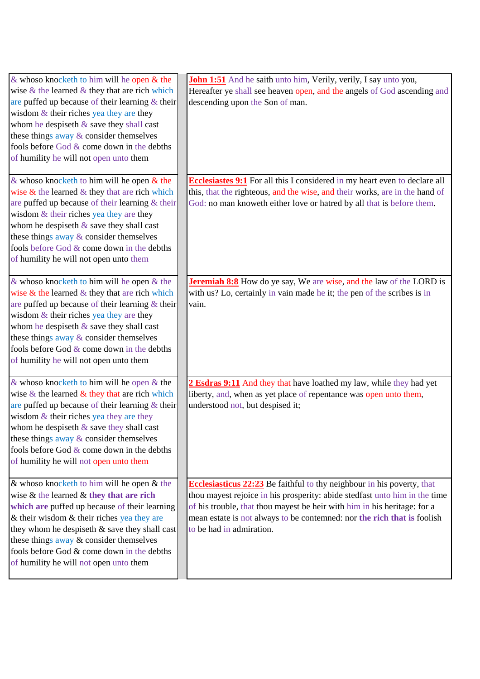| & whoso knocketh to him will be open $\&$ the<br>wise $\&$ the learned $\&$ they that are rich which<br>are puffed up because of their learning $\&$ their<br>wisdom $&$ their riches yea they are they<br>whom he despiseth $\&$ save they shall cast<br>these things away & consider themselves<br>fools before God & come down in the debths<br>of humility he will not open unto them | <b>John 1:51</b> And he saith unto him, Verily, verily, I say unto you,<br>Hereafter ye shall see heaven open, and the angels of God ascending and<br>descending upon the Son of man.                                                                                                                                                           |
|-------------------------------------------------------------------------------------------------------------------------------------------------------------------------------------------------------------------------------------------------------------------------------------------------------------------------------------------------------------------------------------------|-------------------------------------------------------------------------------------------------------------------------------------------------------------------------------------------------------------------------------------------------------------------------------------------------------------------------------------------------|
| & whoso knocketh to him will be open $\&$ the<br>wise $\&$ the learned $\&$ they that are rich which<br>are puffed up because of their learning $&$ their<br>wisdom $&$ their riches yea they are they<br>whom he despiseth $\&$ save they shall cast<br>these things away & consider themselves<br>fools before God & come down in the debths<br>of humility he will not open unto them  | <b>Ecclesiastes 9:1</b> For all this I considered in my heart even to declare all<br>this, that the righteous, and the wise, and their works, are in the hand of<br>God: no man knoweth either love or hatred by all that is before them.                                                                                                       |
| & whoso knocketh to him will be open $\&$ the<br>wise $\&$ the learned $\&$ they that are rich which<br>are puffed up because of their learning $&$ their<br>wisdom $&$ their riches yea they are they<br>whom he despiseth $\&$ save they shall cast<br>these things away & consider themselves<br>fools before God & come down in the debths<br>of humility he will not open unto them  | <b>Jeremiah 8:8</b> How do ye say, We are wise, and the law of the LORD is<br>with us? Lo, certainly in vain made he it; the pen of the scribes is in<br>vain.                                                                                                                                                                                  |
| & whoso knocketh to him will be open $&$ the<br>wise $\&$ the learned $\&$ they that are rich which<br>are puffed up because of their learning $&$ their<br>wisdom & their riches yea they are they<br>whom he despiseth $\&$ save they shall cast<br>these things away $\&$ consider themselves<br>fools before God & come down in the debths<br>of humility he will not open unto them  | 2 Esdras 9:11 And they that have loathed my law, while they had yet<br>liberty, and, when as yet place of repentance was open unto them,<br>understood not, but despised it;                                                                                                                                                                    |
| & whoso knocketh to him will be open $&$ the<br>wise $\&$ the learned $\&$ they that are rich<br>which are puffed up because of their learning<br>& their wisdom $&$ their riches yea they are<br>they whom he despiseth $\&$ save they shall cast<br>these things away & consider themselves<br>fools before God & come down in the debths<br>of humility he will not open unto them     | <b>Ecclesiasticus 22:23</b> Be faithful to thy neighbour in his poverty, that<br>thou may est rejoice in his prosperity: abide stedfast unto him in the time<br>of his trouble, that thou mayest be heir with him in his heritage: for a<br>mean estate is not always to be contemned: nor the rich that is foolish<br>to be had in admiration. |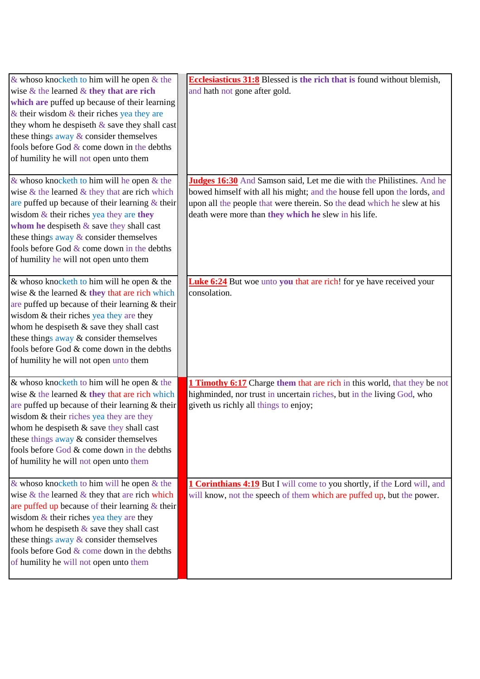| & whoso knocketh to him will be open $\&$ the       | Ecclesiasticus 31:8 Blessed is the rich that is found without blemish,          |
|-----------------------------------------------------|---------------------------------------------------------------------------------|
| wise $\&$ the learned $\&$ they that are rich       | and hath not gone after gold.                                                   |
| which are puffed up because of their learning       |                                                                                 |
| & their wisdom $&$ their riches yea they are        |                                                                                 |
| they whom he despiseth & save they shall cast       |                                                                                 |
| these things away & consider themselves             |                                                                                 |
| fools before God $&$ come down in the debths        |                                                                                 |
| of humility he will not open unto them              |                                                                                 |
|                                                     |                                                                                 |
| & whoso knocketh to him will be open $\&$ the       | Judges 16:30 And Samson said, Let me die with the Philistines. And he           |
| wise $\&$ the learned $\&$ they that are rich which | bowed himself with all his might; and the house fell upon the lords, and        |
| are puffed up because of their learning $\&$ their  | upon all the people that were therein. So the dead which he slew at his         |
| wisdom $&$ their riches yea they are they           | death were more than they which he slew in his life.                            |
| whom he despiseth $\&$ save they shall cast         |                                                                                 |
| these things away & consider themselves             |                                                                                 |
| fools before God $&$ come down in the debths        |                                                                                 |
| of humility he will not open unto them              |                                                                                 |
|                                                     |                                                                                 |
| & whoso knocketh to him will be open $\&$ the       | <b>Luke 6:24</b> But woe unto you that are rich! for ye have received your      |
| wise $\&$ the learned $\&$ they that are rich which | consolation.                                                                    |
| are puffed up because of their learning & their     |                                                                                 |
| wisdom & their riches yea they are they             |                                                                                 |
| whom he despiseth & save they shall cast            |                                                                                 |
| these things away & consider themselves             |                                                                                 |
| fools before God & come down in the debths          |                                                                                 |
| of humility he will not open unto them              |                                                                                 |
|                                                     |                                                                                 |
| & whoso knocketh to him will be open $&$ the        | <b>1 Timothy 6:17</b> Charge them that are rich in this world, that they be not |
| wise $\&$ the learned $\&$ they that are rich which | highminded, nor trust in uncertain riches, but in the living God, who           |
| are puffed up because of their learning & their     | giveth us richly all things to enjoy;                                           |
| wisdom & their riches yea they are they             |                                                                                 |
| whom he despiseth & save they shall cast            |                                                                                 |
| these things away & consider themselves             |                                                                                 |
| fools before God & come down in the debths          |                                                                                 |
| of humility he will not open unto them              |                                                                                 |
|                                                     |                                                                                 |
| & whoso knocketh to him will be open $&$ the        | <b>1 Corinthians 4:19</b> But I will come to you shortly, if the Lord will, and |
| wise $\&$ the learned $\&$ they that are rich which | will know, not the speech of them which are puffed up, but the power.           |
| are puffed up because of their learning $\&$ their  |                                                                                 |
| wisdom $&$ their riches yea they are they           |                                                                                 |
| whom he despiseth $\&$ save they shall cast         |                                                                                 |
| these things away & consider themselves             |                                                                                 |
| fools before God & come down in the debths          |                                                                                 |
| of humility he will not open unto them              |                                                                                 |
|                                                     |                                                                                 |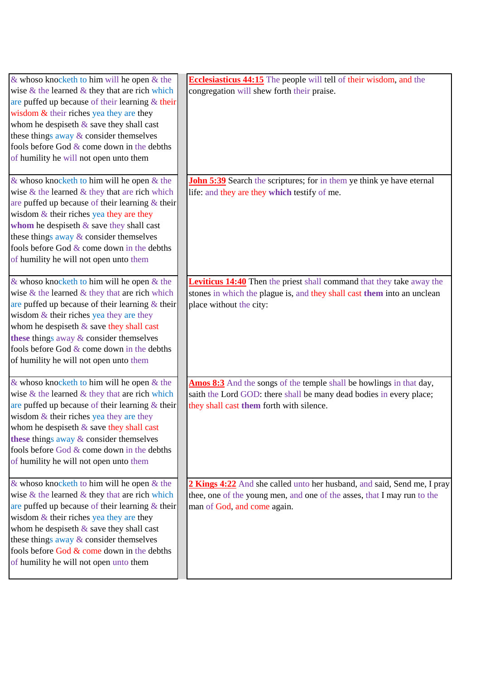| $\&$ whoso knocketh to him will be open $\&$ the    | <b>Ecclesiasticus 44:15</b> The people will tell of their wisdom, and the    |
|-----------------------------------------------------|------------------------------------------------------------------------------|
| wise $\&$ the learned $\&$ they that are rich which | congregation will shew forth their praise.                                   |
| are puffed up because of their learning & their     |                                                                              |
| wisdom $&$ their riches yea they are they           |                                                                              |
| whom he despiseth $\&$ save they shall cast         |                                                                              |
| these things away & consider themselves             |                                                                              |
| fools before God & come down in the debths          |                                                                              |
| of humility he will not open unto them              |                                                                              |
|                                                     |                                                                              |
| & whoso knocketh to him will be open $\&$ the       | <b>John 5:39</b> Search the scriptures; for in them ye think ye have eternal |
| wise $\&$ the learned $\&$ they that are rich which | life: and they are they which testify of me.                                 |
| are puffed up because of their learning & their     |                                                                              |
| wisdom $&$ their riches yea they are they           |                                                                              |
| whom he despiseth $\&$ save they shall cast         |                                                                              |
| these things away & consider themselves             |                                                                              |
| fools before God $&$ come down in the debths        |                                                                              |
| of humility he will not open unto them              |                                                                              |
|                                                     |                                                                              |
| $\&$ whoso knocketh to him will be open $\&$ the    | <b>Leviticus 14:40</b> Then the priest shall command that they take away the |
| wise $\&$ the learned $\&$ they that are rich which | stones in which the plague is, and they shall cast them into an unclean      |
| are puffed up because of their learning $\&$ their  | place without the city:                                                      |
| wisdom $&$ their riches yea they are they           |                                                                              |
| whom he despiseth $\&$ save they shall cast         |                                                                              |
| these things away $&$ consider themselves           |                                                                              |
| fools before God & come down in the debths          |                                                                              |
| of humility he will not open unto them              |                                                                              |
|                                                     |                                                                              |
| $\&$ whoso knocketh to him will be open $\&$ the    | <b>Amos 8:3</b> And the songs of the temple shall be howlings in that day,   |
| wise $\&$ the learned $\&$ they that are rich which | saith the Lord GOD: there shall be many dead bodies in every place;          |
| are puffed up because of their learning $\&$ their  | they shall cast them forth with silence.                                     |
| wisdom $&$ their riches yea they are they           |                                                                              |
| whom he despiseth $\&$ save they shall cast         |                                                                              |
| these things away $\&$ consider themselves          |                                                                              |
| fools before God & come down in the debths          |                                                                              |
| of humility he will not open unto them              |                                                                              |
|                                                     |                                                                              |
| $\&$ whoso knocketh to him will be open $\&$ the    | 2 Kings 4:22 And she called unto her husband, and said, Send me, I pray      |
| wise $\&$ the learned $\&$ they that are rich which | thee, one of the young men, and one of the asses, that I may run to the      |
| are puffed up because of their learning $\&$ their  | man of God, and come again.                                                  |
| wisdom $&$ their riches yea they are they           |                                                                              |
| whom he despiseth $\&$ save they shall cast         |                                                                              |
| these things away & consider themselves             |                                                                              |
| fools before God & come down in the debths          |                                                                              |
| of humility he will not open unto them              |                                                                              |
|                                                     |                                                                              |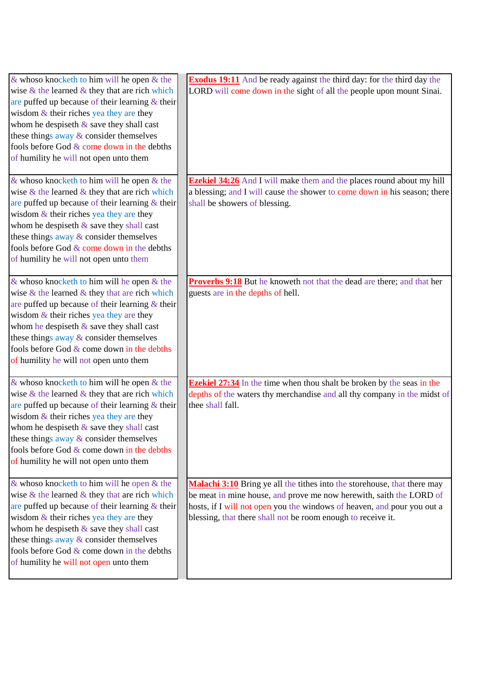| & whoso knocketh to him will be open $&$ the<br>wise $\&$ the learned $\&$ they that are rich which<br>are puffed up because of their learning $\&$ their<br>wisdom $&$ their riches yea they are they<br>whom he despiseth $\&$ save they shall cast<br>these things away & consider themselves<br>fools before God & come down in the debths<br>of humility he will not open unto them  | <b>Exodus 19:11</b> And be ready against the third day: for the third day the<br>LORD will come down in the sight of all the people upon mount Sinai.                                                                                                                                      |
|-------------------------------------------------------------------------------------------------------------------------------------------------------------------------------------------------------------------------------------------------------------------------------------------------------------------------------------------------------------------------------------------|--------------------------------------------------------------------------------------------------------------------------------------------------------------------------------------------------------------------------------------------------------------------------------------------|
| & whoso knocketh to him will be open $\&$ the<br>wise $\&$ the learned $\&$ they that are rich which<br>are puffed up because of their learning $\&$ their<br>wisdom $&$ their riches yea they are they<br>whom he despiseth $\&$ save they shall cast<br>these things away & consider themselves<br>fools before God & come down in the debths<br>of humility he will not open unto them | <b>Ezekiel 34:26</b> And I will make them and the places round about my hill<br>a blessing; and I will cause the shower to come down in his season; there<br>shall be showers of blessing.                                                                                                 |
| & whoso knocketh to him will be open $&$ the<br>wise $\&$ the learned $\&$ they that are rich which<br>are puffed up because of their learning $\&$ their<br>wisdom $&$ their riches yea they are they<br>whom he despiseth $\&$ save they shall cast<br>these things away & consider themselves<br>fools before God & come down in the debths<br>of humility he will not open unto them  | <b>Proverbs 9:18</b> But he knoweth not that the dead are there; and that her<br>guests are in the depths of hell.                                                                                                                                                                         |
| & whoso knocketh to him will be open $&$ the<br>wise $\&$ the learned $\&$ they that are rich which<br>are puffed up because of their learning $\&$ their<br>wisdom & their riches yea they are they<br>whom he despiseth $\&$ save they shall cast<br>these things away $\&$ consider themselves<br>fools before God & come down in the debths<br>of humility he will not open unto them | <b>Ezekiel 27:34</b> In the time when thou shalt be broken by the seas in the<br>depths of the waters thy merchandise and all thy company in the midst of<br>thee shall fall.                                                                                                              |
| & whoso knocketh to him will be open $&$ the<br>wise $\&$ the learned $\&$ they that are rich which<br>are puffed up because of their learning $\&$ their<br>wisdom $&$ their riches yea they are they<br>whom he despiseth & save they shall cast<br>these things away $\&$ consider themselves<br>fools before God & come down in the debths<br>of humility he will not open unto them  | Malachi 3:10 Bring ye all the tithes into the storehouse, that there may<br>be meat in mine house, and prove me now herewith, saith the LORD of<br>hosts, if I will not open you the windows of heaven, and pour you out a<br>blessing, that there shall not be room enough to receive it. |